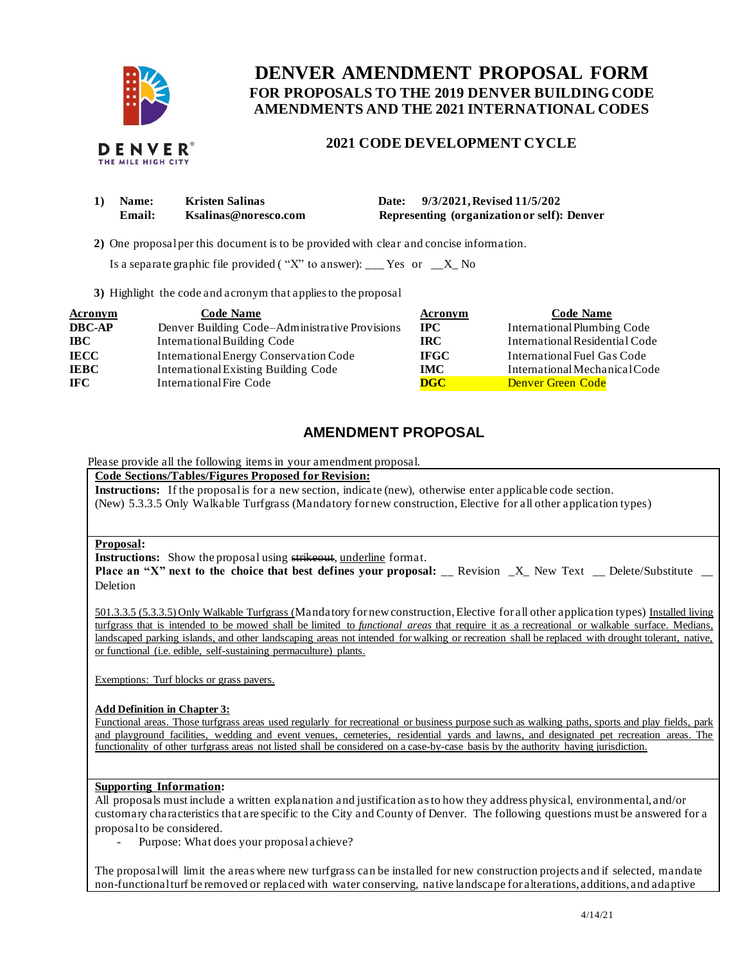

# **FOR PROPOSALS TO THE 2019 DENVER BUILDING CODE DENVER AMENDMENT PROPOSAL FORM AMENDMENTS AND THE 2021 INTERNATIONAL CODES**

## **2021 CODE DEVELOPMENT CYCLE**

| 1) | <b>Name:</b> | <b>Kristen Salinas</b> | <b>Date:</b> | 9/3/2021, Revised 11/5/202                  |
|----|--------------|------------------------|--------------|---------------------------------------------|
|    | Email:       | Ksalinas@noresco.com   |              | Representing (organization or self): Denver |

**2)** One proposalper this document is to be provided with clear and concise information.

Is a separate graphic file provided ("X" to answer): \_\_\_ Yes or  $X_N$  No

**3)** Highlight the code and acronym that applies to the proposal

| <b>Acronym</b> | <b>Code Name</b>                               | <b>Acronym</b> | <b>Code Name</b>               |
|----------------|------------------------------------------------|----------------|--------------------------------|
| <b>DBC-AP</b>  | Denver Building Code–Administrative Provisions | $_{\rm IPC}$   | International Plumbing Code    |
| <b>IBC</b>     | International Building Code                    | IRC.           | International Residential Code |
| <b>IECC</b>    | International Energy Conservation Code         | <b>IFGC</b>    | International Fuel Gas Code    |
| <b>IEBC</b>    | <b>International Existing Building Code</b>    | <b>IMC</b>     | International Mechanical Code  |
| <b>IFC</b>     | International Fire Code                        | <b>DGC</b>     | Denver Green Code              |

## **AMENDMENT PROPOSAL**

Please provide all the following items in your amendment proposal.

 **Code Sections/Tables/Figures Proposed for Revision:** 

**Instructions:** If the proposal is for a new section, indicate (new), otherwise enter applicable code section.

(New) 5.3.3.5 Only Walkable Turfgrass (Mandatory for new construction, Elective for all other application types)

#### **Proposal:**

**Instructions:** Show the proposal using strikeout, underline format.

**Place an "X" next to the choice that best defines your proposal: \_\_ Revision \_X\_ New Text \_\_ Delete/Substitute \_\_** Deletion

501.3.3.5 (5.3.3.5) Only Walkable Turfgrass (Mandatory for new construction, Elective for all other application types) Installed living turfgrass that is intended to be mowed shall be limited to *functional areas* that require it as a recreational or walkable surface. Medians, landscaped parking islands, and other landscaping areas not intended for walking or recreation shall be replaced with drought tolerant, native, or functional (i.e. edible, self-sustaining permaculture) plants.

Exemptions: Turf blocks or grass pavers.

#### **Add Definition in Chapter 3:**

 Functional areas. Those turfgrass areas used regularly for recreational or business purpose such as walking paths, sports and play fields, park and playground facilities, wedding and event venues, cemeteries, residential yards and lawns, and designated pet recreation areas. The functionality of other turfgrass areas not listed shall be considered on a case-by-case basis by the authority having jurisdiction.

#### **Supporting Information:**

 All proposals must include a written explanation and justification as to how they address physical, environmental, and/or customary characteristics that are specific to the City and County of Denver. The following questions must be answered for a proposal to be considered.

- Purpose: What does your proposal achieve?

 The proposalwill limit the areas where new turfgrass can be installed for new construction projects and if selected, mandate non-functional turf be removed or replaced with water conserving, native landscape for alterations, additions, and adaptive